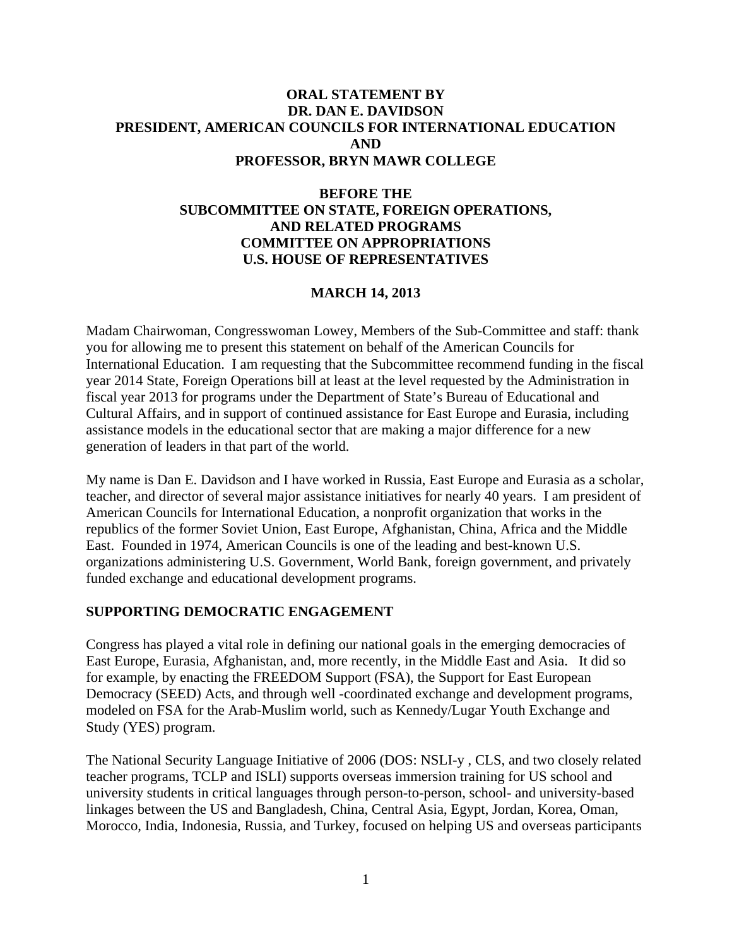## **ORAL STATEMENT BY DR. DAN E. DAVIDSON PRESIDENT, AMERICAN COUNCILS FOR INTERNATIONAL EDUCATION AND PROFESSOR, BRYN MAWR COLLEGE**

## **BEFORE THE SUBCOMMITTEE ON STATE, FOREIGN OPERATIONS, AND RELATED PROGRAMS COMMITTEE ON APPROPRIATIONS U.S. HOUSE OF REPRESENTATIVES**

## **MARCH 14, 2013**

Madam Chairwoman, Congresswoman Lowey, Members of the Sub-Committee and staff: thank you for allowing me to present this statement on behalf of the American Councils for International Education. I am requesting that the Subcommittee recommend funding in the fiscal year 2014 State, Foreign Operations bill at least at the level requested by the Administration in fiscal year 2013 for programs under the Department of State's Bureau of Educational and Cultural Affairs, and in support of continued assistance for East Europe and Eurasia, including assistance models in the educational sector that are making a major difference for a new generation of leaders in that part of the world.

My name is Dan E. Davidson and I have worked in Russia, East Europe and Eurasia as a scholar, teacher, and director of several major assistance initiatives for nearly 40 years. I am president of American Councils for International Education, a nonprofit organization that works in the republics of the former Soviet Union, East Europe, Afghanistan, China, Africa and the Middle East. Founded in 1974, American Councils is one of the leading and best-known U.S. organizations administering U.S. Government, World Bank, foreign government, and privately funded exchange and educational development programs.

## **SUPPORTING DEMOCRATIC ENGAGEMENT**

Congress has played a vital role in defining our national goals in the emerging democracies of East Europe, Eurasia, Afghanistan, and, more recently, in the Middle East and Asia. It did so for example, by enacting the FREEDOM Support (FSA), the Support for East European Democracy (SEED) Acts, and through well -coordinated exchange and development programs, modeled on FSA for the Arab-Muslim world, such as Kennedy/Lugar Youth Exchange and Study (YES) program.

The National Security Language Initiative of 2006 (DOS: NSLI-y , CLS, and two closely related teacher programs, TCLP and ISLI) supports overseas immersion training for US school and university students in critical languages through person-to-person, school- and university-based linkages between the US and Bangladesh, China, Central Asia, Egypt, Jordan, Korea, Oman, Morocco, India, Indonesia, Russia, and Turkey, focused on helping US and overseas participants